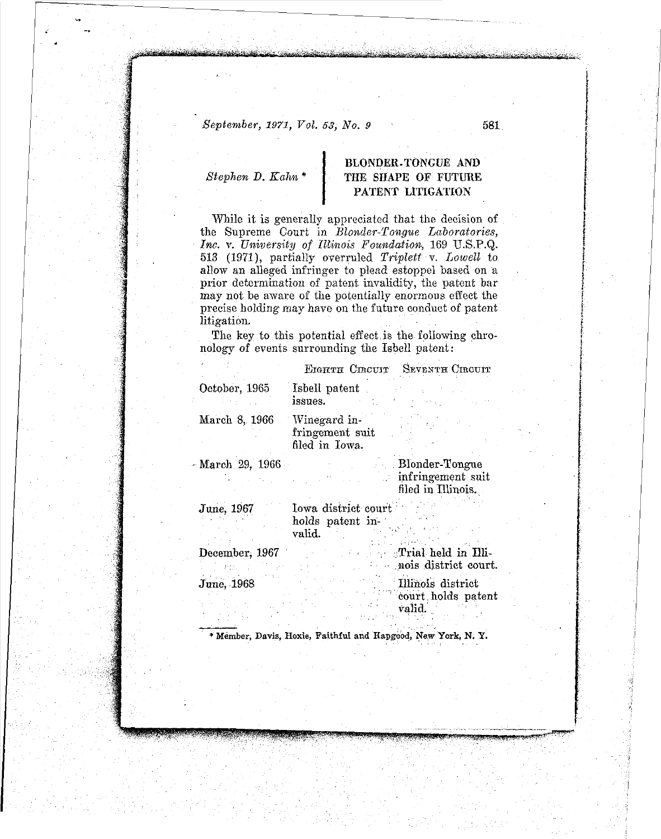*September,* 1971, *Vol.* 53, *No.9*

#### *Stephen D. Kahn •*

## BLONDER.TONGUE AND THE SHAPE OF FUTURE PATENT LITIGATION

While it is generally appreciated that the decision of the Supreme Court in *Blonder-Tongue Laboratories, Inc.* v. *University* of *Illinois Foundation*, 169 U.S.P.Q. 513 (1971), partially overruled *Triplett* v. *Lowell* to allow an alleged infringer to plead estoppel based on a prior determination of patent invalidity, the patent bar may not be aware of the potentially enormous effect the precise holding may have on the future conduct of patent litigation. .

The key to this potential effect is the following chronology of events surrounding the Isbell patent:

|                        |                                                   | EIGHTH CIRCUIT SEVENTH CIRCUIT                               |
|------------------------|---------------------------------------------------|--------------------------------------------------------------|
| October, 1965          | Isbell patent<br>issues.                          |                                                              |
| March 8, 1966          | Winegard in-<br>fringement suit<br>filed in Iowa. |                                                              |
| $-$ March 29, 1966 $-$ |                                                   | Blonder-Tongue<br>infringement suit<br>filed in Illinois.    |
| June, 1967             | Iowa district court<br>holds patent in-<br>valid. |                                                              |
| December, 1967         |                                                   | <b>Example 2</b> Trial held in Illi-<br>nois district court. |
| June, 1968             |                                                   | Illinois district<br>court holds patent<br>valid.            |

581

المركزة والمستقلب المستعين المالية.<br>المركزة المستقلب

f

بد فخاصيه القد

film for the film of the state of the state of the film of the state of the film of the state of the state of the state of the state of the state of the state of the state of the state of the state of the state of the stat

,

in the first statement of the statement of the statement of the statement of the statement of the statement of<br>Which the statement of the statement of the statement of the statement of the statement of the statement of the

f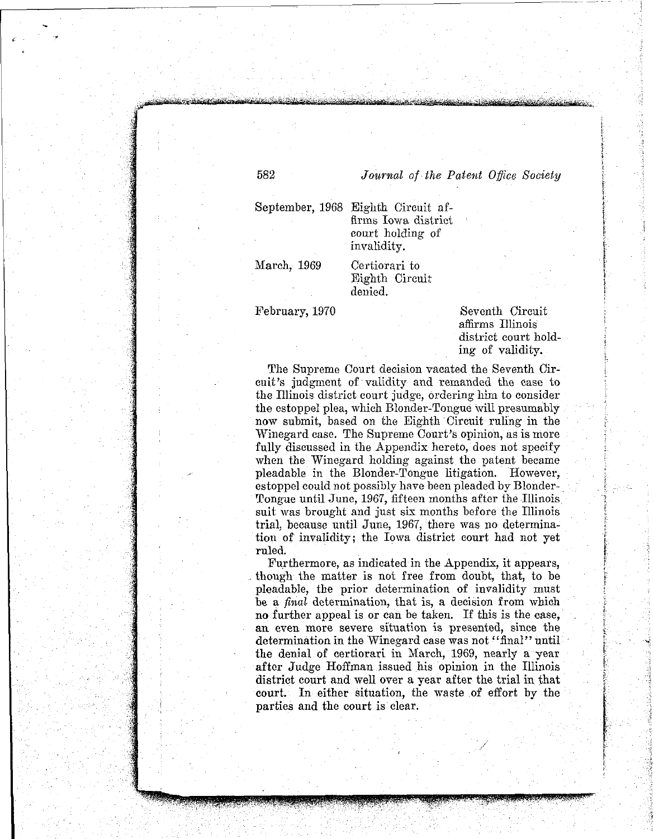### *582 Journal of the Patent Office Society*

,-------------------------~....-

September, 1968 Eighth Circuit affirms Iowa district court holding of invalidity.

March, 1969 Certiorari to Eighth Circuit denied.

February, 1970 Seventh Circuit affirms Illinois district court holding of validity.

The Supreme Court decision vacated the Seventh Circuit's judgment of validity and remanded the case to the Illinois district court judge, ordering him to consider the estoppel plea, which Blonder-Tongue will presumably now submit, based on the Eighth Circuit ruling in the Winegard case. The Supreme Court's opinion, as is more fully discussed in the Appendix hereto, does not specify when the Winegard holding against the patent became pleadable in the Blonder-Tongue litigation. However, estoppel could not possibly have been pleaded by Blonder-Tongue until June, 1967, fifteen months after the Illinois suit was brought and just six months before the Illinois trial, because until June, 1967, there was no determination of invalidity; the Iowa district court had not yet ruled.

Furthermore, as indicated in the Appendix, it appears, though the matter is not free from doubt, that, to be pleadable, the prior determination of invalidity must be a *final* determination, that is, a decision from which no further appeal is or can be taken. If this is the case, an even more severe situation is presented, since the determination in the Winegard case was not "final" until the denial of certiorari in March, 1969, nearly a year after Judge Hoffman issued his opinion in the Illinois district court and well over a year after the trial in that court. In either situation, the waste of effort by the parties and the court is clear.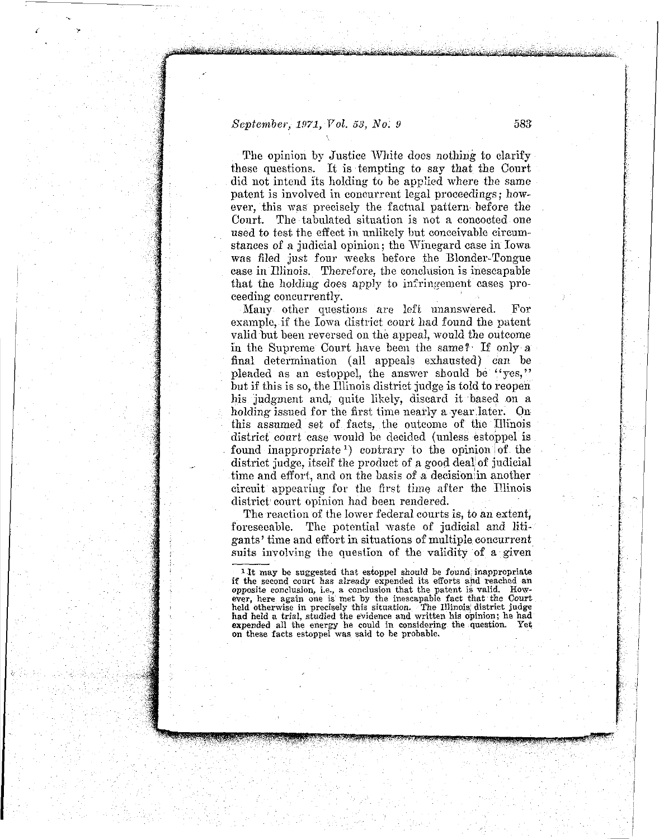#### *September,* 1971, *Yol.* 53, *No.* 9 583

(

.<br>پ

The opinion by Justice White does nothing to clarify these questions. It is tempting to say that the Court did not intend its holding to be applied where the same patent is involved in concurrent legal proceedings; however, this wag precisely the factual pattern before the Court, The tabulated situation is not a concocted one used to test the effect in unlikely but conceivable circumstances of a judicial opinion; the Winegard case in Iowa was filed just four weeks before the Blonder-Tongue case in Illinois. Therefore, the conclusion is inescapable that the holding does apply to infringement cases proceeding concurrently.

Many other questions are left unanswered. For example, if the Iowa district court had found the patent valid but been reversed on the appeal, would the outcome in the Supreme Court have been the same?' If only a final determination (all appeals exhausted) can be pleaded as an estoppel, the answer should be "yes," but if this is so, the Illinois district judge is told to reopen his judgment and, quite likely, discard it based on a holding issued for the first time nearly a year later. On this assumed set of facts, the outcome of the Illinois district court case would be decided (unless estoppel is found inappropriate  $\ell$  contrary to the opinion of the district judge, itself the product of a good deal of judicial time and effort, and on the basis of a decision in another circuit appearing for the first time after the Illinois district court opinion had been rendered.

The reaction of the lower federal courts is, to an extent, foreseeable. The potential waste of judicial and litigants' time and effort in situations of multiple concurrent suits involving the question of the validity of a given ria de la constitución de la constitución de la constitución de la constitución de la constitución de la const<br>Internacional

tir!IfII!

<sup>&</sup>lt;sup>1</sup>It may be suggested that estoppel should be found inappropriate if the second court has already expended its efforts and reached an opposite conclusion, i.e., a conclusion that the patent is valid. How**ever, here again one is met by the inescapable fact that the Court held otherwise in precisely this situation. The Illinois,' district judge had held a trial, studied the evidence and written his opinion; he had** expended all the energy he could in considering the question. **on these facts estoppel was said to be probable.**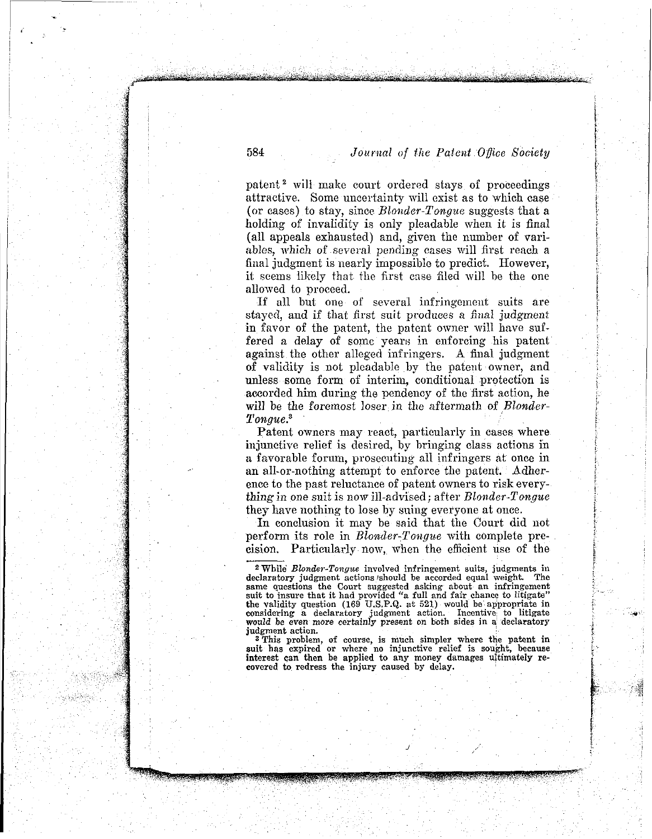patent <sup>2</sup> will make court ordered stays of proceedings attractive. Some uncertainty will exist as to which case (or cases) to stay, since *Blonder-Tongue* suggests that a holding of invalidity is only pleadable when it is final (all appeals exhausted) and, given the number of variables, which of several pending cases will first reach a final judgment is nearly impossible to predict. However, it seems likely that the first case filed will be the one allowed to proceed.

If all but one of several infringement suits are stayed, and if that first suit produces a final judgment in favor of the patent, the patent owner will have suffered a delay of some years in enforcing his patent against the other alleged infringers. A final judgment of validity is not pleadable by the patent owner, and unless some form of interim, conditional protection is accorded him during the pendency of the first action, he will be the foremost loser in the aftermath of *Blonder-Tongue.·*

Patent owners may react, particularly in cases where injunctive relief is desired, by bringing class actions in a favorable forum, prosecuting' all infringers at once in an ali-or-nothing attempt to enforce the patent. Adherence to the past reluctance of patent owners to risk everything in one suit is now ill-advised; after *Blonder-Tongue* they have nothing to lose by suing everyone at once.

In conclusion it may be said that the Court did not perform its role in *Blonder-T'onque* with complete precision. Particularly now, when the efficient use of the

**3 This problem, of course, is** much simpler **where the patent in suit has expired or where no injunctive relief is sought, because interest** can **then be applied to any money damages ultimately recovered to redress the injury caused by delay,**

to,

ri  $\mathbf{r}$ 

!

J

..

<sup>2</sup> While' *Blonder-Tongue* **involved infringement suits, judgments in declaratory judgment actions**.rshould **be accorded equal weight. The same questions the Court suggested asking about an infringement suit to insure that it had provided "a full and fair chancy to litigate" the validity question (169 U.S.P.Q. at 521) would be- appropriate in considering a declaratory judgment action. Incentive: to litigate would be even -more certainly present on both sides in** e'declaretory **judgment action.**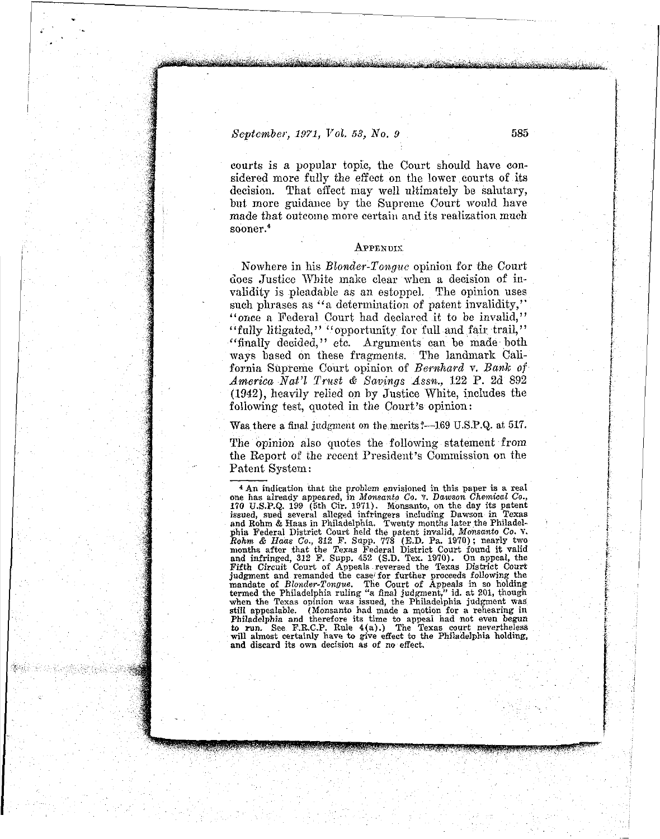#### *September, 1971, Vol. 53, No. 9* 585

courts is a popular topic, the Court should have considered more fully the effect on the lower courts of its decision. That effect may well ultimately be salutary, but more guidance by the Supreme Court would have made that outcome more certain and its realization much sooner.<sup>4</sup>

#### **APPENDIX**

Nowhere in his *Blonder-Tongue* opinion for the Court does Justice White make clear when a decision of invalidity is pleadable as an estoppel. The opinion uses such phrases as "a determination of patent invalidity," "once a Federal Court had declared it to be invalid," "fully litigated," "opportunity for full and fair trail," "finally decided," etc. Arguments can be made both ways based on these fragments. The landmark California Supreme Court opinion of *Bernhard* v, *Bank of America* Not'] *Trust* ill *Savings Assn.,* 122 P. 2d 892 (1942), heavily relied on by Justice White, includes the following test, quoted in the Court's opinion:

Was there a final judgment on the merits?—169 U.S.P.Q. at 517.

The opinion also quotes the following statement from the Report of the recent President's Commission on the Patent System:

**<sup>4</sup> An indication that the problem envisioned in this paper is a real one has already appeared, in** *Monsanto Co.* **v.** *Dawson Chemical Co.,* 170 U.S.P.Q. 199 (5th Cir. 1971). Monsanto, on the day its patent **issued, sued several alleged infringers including Dawson in Texas** and Rohm & Haas in Philadelphia. Twenty months later the Philadel**phia Federal District Court held the patent invalid,** *Monsan·to Co. v, Rohm & Haas Co.*, 312 F. Supp. 778 (E.D. Pa. 1970); nearly two **months after that the Texas Federal District Court found it valid** and infringed, 312 F. Supp. 452 (S.D. Tex. 1970). On appeal, the **Fifth Circuit Court of Appeals reversed the Texas District Court** judgment and remanded the case for further proceeds following the<br>mandate of Blonder-Tongue. The Court of Appeals in so holding **termed the Philadelphia ruling "a final** judgment," id. **at 201, though** when the Texas opinion was issued, the Philadelphia judgment was<br>still appealable. (Monsanto had made a motion for a rehearing in Philadelphia and therefore its time to appeal had not even begun<br>to run. See F.R.C.P. Rule 4(a).) The Texas court nevertheless **will almost certainly have to give effect to the Philadelphia holding) and discard its own decision as of no' effect.**

القارن التي يوم التي تقويم التي تقويم التي تقويم التي تقويم التي تقويم التي تقويم التي تقويم التي تقويم التي ت<br>التي تقويم التي تقويم التي تقويم التي تقويم التي تقويم التي تقويم التي تقويم التي تقويم التي تقويم التي تقويم

for a state of the state of the state of the state of the state of the state of the state of the state of the state of the state of the state of the state of the state of the state of the state of the state of the state o

ir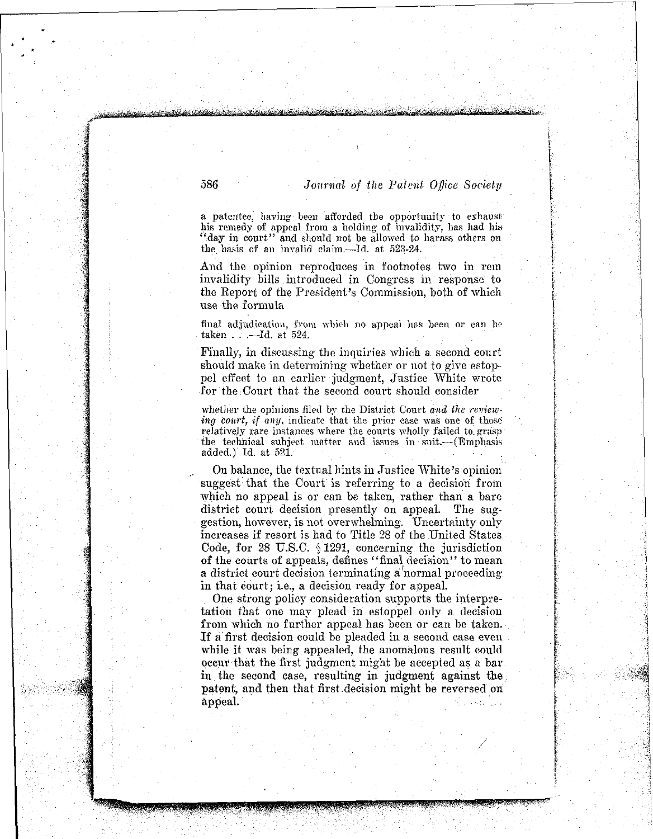#### 586 *.lourno! of the Puieni OtJicc Society*

**a** patentee; **having been afforded the opportunity to exhaust** his remedy of appeal from a holding of invalidity, has had his "day in court" and should not be allowed to harass others on the basis of an invalid claim.—Id. at 523-24.

And the opinion reproduces in footnotes two in rem invalidity bills introduced in Congress in response to tho Report of the President's Commission, both of which use tbe formula

**final adjudication, 1rom** which **<sup>110</sup> appeal** has been **or can be** taken ...-ld. at 524.

Finally, in discussing the inquiries which a second court should make in determining whether or not to give estoppel effect to an earlier judgment, Justice White wrote for the Court that the second court should consider

whether the opinions filed by the District Court *and the rcuicuring court,* **if** *any,* **indicate that the prior case was one of those** *relatively* **rare instances where the courts wholly failed to grasp the technical subject matter and issues in suit.-(Emphasis** added.) ld. at 521.

On balance, the textual hints in Justice White's opinion suggest that the Court is referring to a decision from which no appeal is or can be taken, rather than a bare district court decision presently on appeal. The suggestion, however, is not overwhelming. Uncertainty only increases if resort is had to Title 28 of the United States. Code, for 28 U.S.C.  $\S 1291$ , concerning the jurisdiction of the courts of appeals, defines "final decision" to mean a district court decision terminating a normal proceeding in that court; i.e., a decision ready for appeal.

**International Control**<br>International Control t **International** f **International Communication** 

**International Control** 

**International** f **Industrial** i, I

القامة بنا معتقد مشتها المزرون والقا<br>القامة بنا معتقد مشتها المزرون والقا

i<br>International

I

In address of the **I**  $\sim$ t f international

**In the case of the Unit** f f in a change is

**light of the light** *<i><u>ARTICITY</u>* تقييمت و t in the project of the con-

One strong policy consideration supports the interpretation tbat one may plead in estoppel only a decision from which no further appeal has been or can be taken. If <sup>a</sup> first decision could be pleaded in a second case even while it was being appealed, the anomalous result could occur that the first judgment might be accepted as a bar in the second case, resulting in judgment against the patent, and then that first decision might be reversed on appeal.